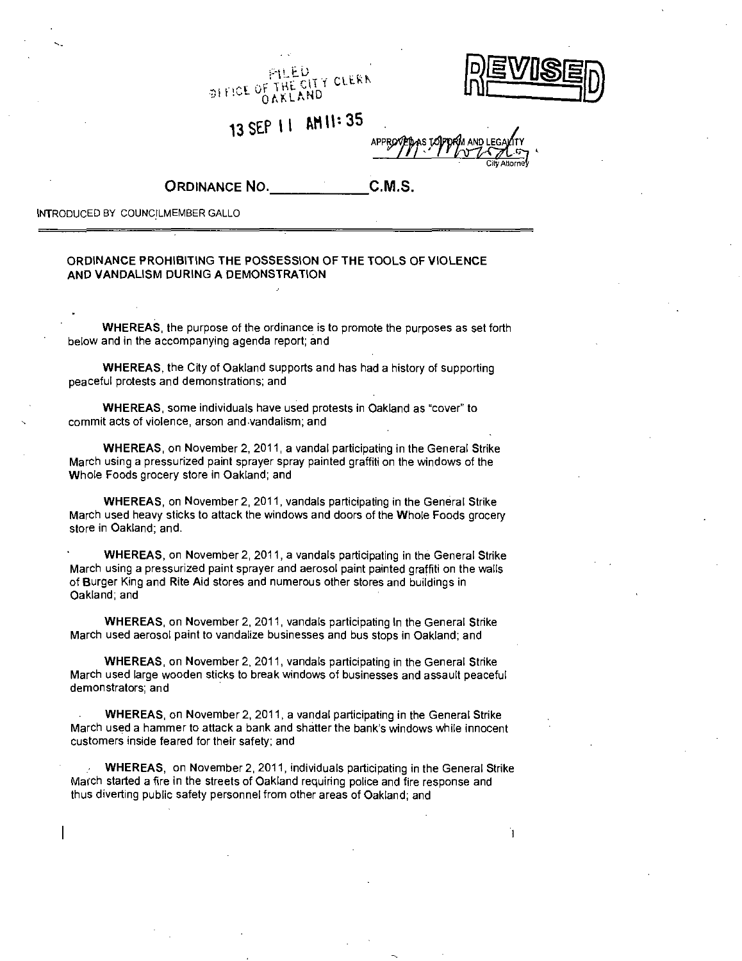許しもし **PILED**<br>DIFICE OF THE CITY CLERN OAKLAND



Î.

**13** SEP **11** AM 11: 35

City Attorney

**ORDINANCE NO. C.M.S.** 

INTRODUCED BY COUNCILMEMBER GALLO

## **ORDINANCE PROHIBITING THE POSSESSION OF THE TOOLS OF VIOLENCE AND VANDALISM DURING A DEMONSTRATION**

WHEREAS, the purpose of the ordinance is to promote the purposes as set forth below and in the accompanying agenda report; and

WHEREAS, the City of Oakland supports and has had a history of supporting peaceful protests and demonstrations; and

WHEREAS, some individuals have used protests in Oakland as "cover" to commit acts of violence, arson and vandalism; and

WHEREAS, on November 2, 2011, a vandal participating in the General Strike March using a pressurized paint sprayer spray painted graffiti on the windows of the Whole Foods grocery store in Oakland; and

WHEREAS, on November 2, 2011, vandals participating in the General Strike March used heavy sticks to attack the windows and doors of the Whole Foods grocery store in Oakland; and.

WHEREAS, on November 2, 2011, a vandals participating in the General Strike March using a pressurized paint sprayer and aerosol paint painted graffiti on the walls of Burger King and Rite Aid stores and numerous other stores and buildings in Oakland; and

WHEREAS, on November 2, 2011, vandals participating In the General Strike March used aerosol paint to vandalize businesses and bus stops in Oakland; and

WHEREAS, on November 2. 2011, vandals participating in the General Strike March used large wooden sticks to break windows of businesses and assault peaceful demonstrators; and

WHEREAS, on November 2, 2011, a vandal participating in the General Strike March used a hammer to attack a bank and shatter the bank's windows while innocent customers inside feared for their safety; and

WHEREAS, on November 2, 2011, individuals participating in the General Strike Wlafch started a fire in the streets of Oakland requiring police and fire response and thus diverting public safety personnel from other areas of Oakland; and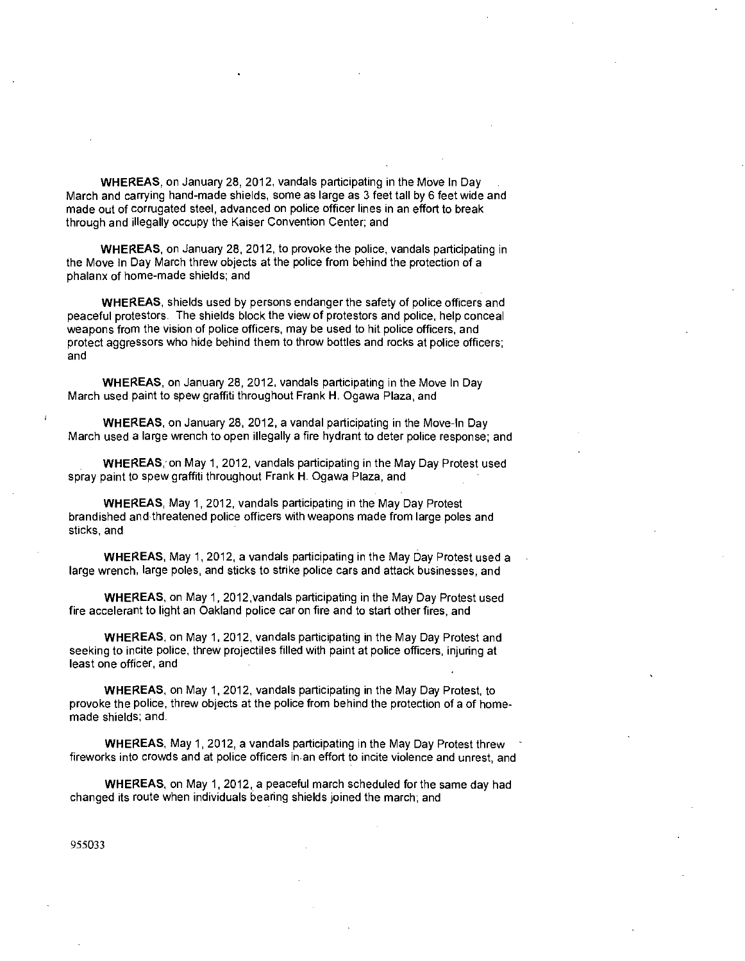WHEREAS, on January 28, 2012, vandals participating in the Move In Day March and carrying hand-made shields, some as large as 3 feet tall by 6 feet wide and made out of corrugated steel, advanced on police officer lines in an effort to break through and illegally occupy the Kaiser Convention Center; and

WHEREAS, on January 28, 2012, to provoke the police, vandals participating in the Move In Day March threw objects at the police from behind the protection of a phalanx of home-made shields; and

WHEREAS, shields used by persons endanger the safety of police officers and peaceful protestors. The shields block the view of protestors and police, help conceal weapons from the vision of police officers, may be used to hit police officers, and protect aggressors who hide behind them to throw bottles and rocks at police officers; and

WHEREAS, on January 28, 2012, vandals participating in the Move In Day March used paint to spew graffiti throughout Frank H. Ogawa Plaza, and

WHEREAS, on January 28, 2012, a vandal participating in the Move-In Day March used a large wrench to open illegally a fire hydrant to deter police response; and

WHEREAS,'on May 1, 2012, vandals participating in the May Day Protest used spray paint to spew graffiti throughout Frank H. Ogawa Plaza, and

WHEREAS, May 1, 2012, vandals participating in the May Day Protest brandished and threatened police officers with weapons made from large poles and sticks, and

WHEREAS, May 1, 2012, a vandals participating in the May Day Protest used a large wrench, large poles, and sticks to strike police cars and attack businesses, and

WHEREAS, on May 1, 2012,vandals participating in the May Day Protest used fire accelerant to light an Oakland police car on fire and to start other fires, and

WHEREAS, on May 1, 2012, vandals participating in the May Day Protest and seeking to incite police, threw projectiles filled with paint at police officers, injuring at least one officer, and

WHEREAS, on May 1, 2012, vandals participating in the May Day Protest, to provoke the police, threw objects at the police from behind the protection of a of homemade shields; and.

WHEREAS, May 1, 2012, a vandals participating in the May Day Protest threw fireworks into crowds and at police officers in an effort to incite violence and unrest, and

WHEREAS, on May 1, 2012, a peaceful march scheduled for the same day had changed its route when individuals bearing shields joined the march; and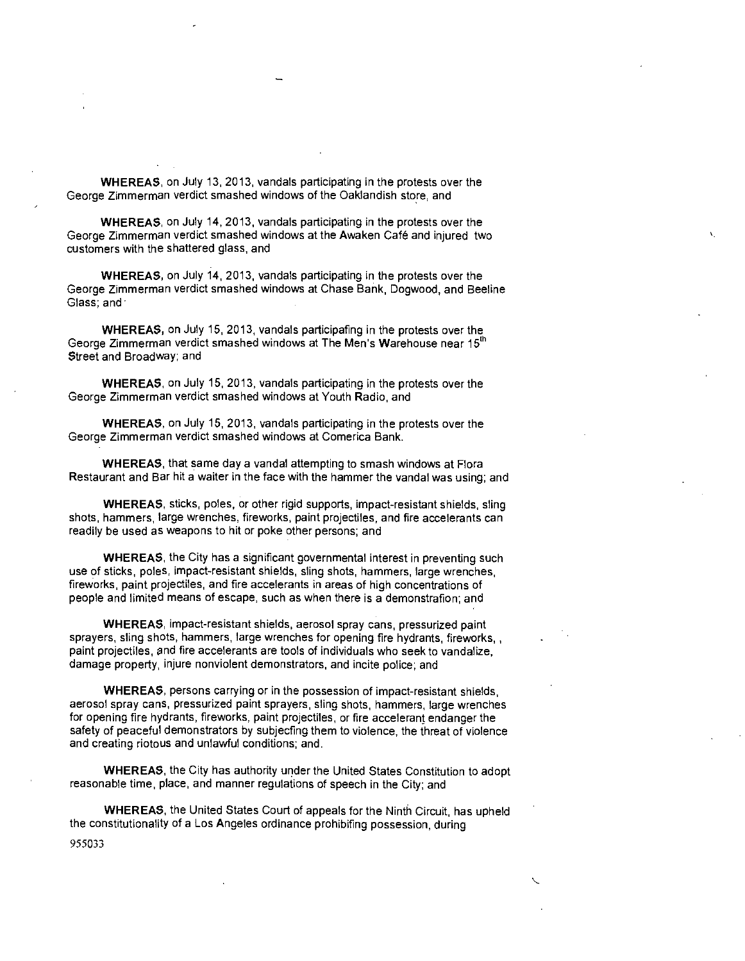WHEREAS, on July 13, 2013, vandals participating in the protests over the George Zimmerman verdict smashed windows of the Oaklandish store, and

WHEREAS, on July 14, 2013, vandals participating in the protests over the George Zimmerman verdict smashed windows at the Awaken Cafe and injured two customers with the shattered glass, and

WHEREAS, on July 14, 2013, vandals participating in the protests over the George Zimmerman verdict smashed windows at Chase Bank, Dogwood, and Beeline Glass; and

WHEREAS, on July 15, 2013, vandals participafing in the protests over the George Zimmerman verdict smashed windows at The Men's Warehouse near 15<sup>th</sup> Street and Broadway; and

WHEREAS, on July 15, 2013, vandals participating in the protests over the George Zimmerman verdict smashed windows at Youth Radio, and

WHEREAS, on July 15, 2013, vandals participating in the protests over the George Zimmerman verdict smashed windows at Comerica Bank.

WHEREAS, that same day a vandal attempting to smash windows at Flora Restaurant and Bar hit a waiter in the face with the hammer the vandal was using; and

WHEREAS, sticks, poles, or other rigid supports, impact-resistant shields, sling shots, hammers, large wrenches, fireworks, paint projectiles, and fire accelerants can readily be used as weapons to hit or poke other persons; and

WHEREAS, the City has a significant governmental interest in preventing such use of sticks, poles, impact-resistant shields, sling shots, hammers, large wrenches, fireworks, paint projectiles, and fire accelerants in areas of high concentrations of people and limited means of escape, such as when there is a demonstrafion; and

WHEREAS, Impact-resistant shields, aerosol spray cans, pressurized paint sprayers, sling shots, hammers, large wrenches for opening fire hydrants, fireworks,, paint projectiles, &nd fire accelerants are tools of individuals who seek to vandalize, damage property, injure nonviolent demonstrators, and incite police; and

WHEREAS, persons carrying or in the possession of impact-resistant shields, aerosol spray cans, pressurized paint sprayers, sling shots, hammers, large wrenches for opening fire hydrants, fireworks, paint projectiles, or fire accelerant endanger the safety of peaceful demonstrators by subjecfing them to violence, the threat of violence and creating riotous and unlawful conditions; and.

WHEREAS, the City has authority under the United States Constitution to adopt reasonable time, place, and manner regulations of speech in the City; and

WHEREAS, the United States Court of appeals for the Ninth Circuit, has upheld the constitutionality of a Los Angeles ordinance prohibifing possession, during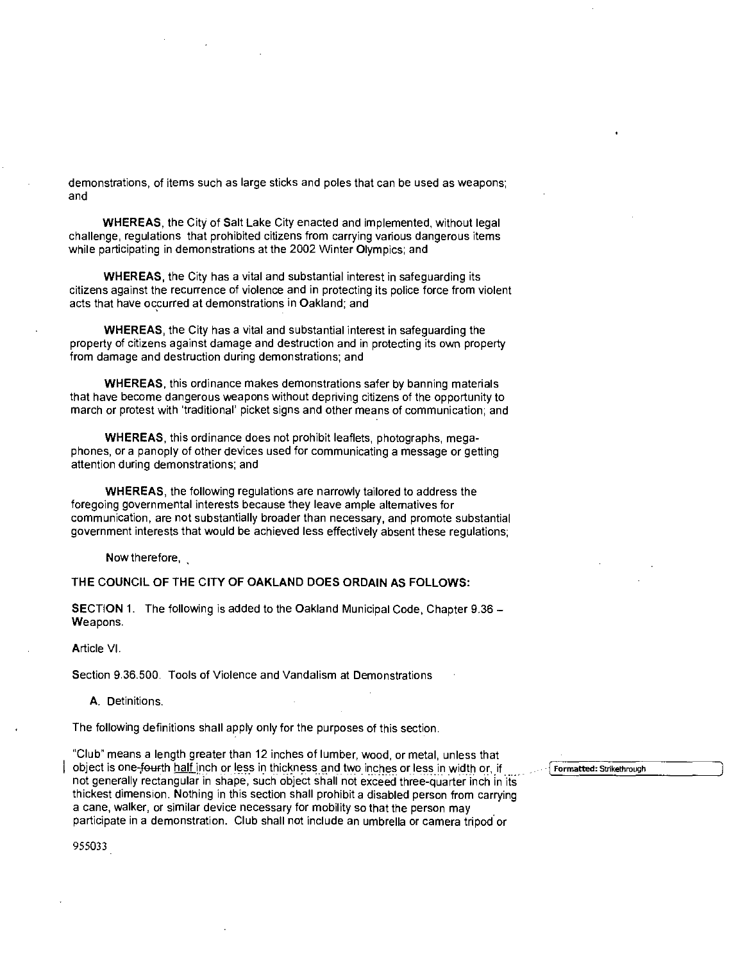demonstrations, of items such as large sticks and poles that can be used as weapons; and

WHEREAS, the City of Salt Lake City enacted and Implemented, without legal challenge, regulafions that prohibited citizens from carrying various dangerous items while participating in demonstrations at the 2002 Winter Olympics; and

WHEREAS, the City has a vital and substantial interest in safeguarding its citizens against the recurrence of violence and in protecting its police force from violent acts that have occurred at demonstrations in Oakland; and

WHEREAS, the City has a vital and substantial interest in safeguarding the property of citizens against damage and destruction and in protecting its ovm property from damage and destruction during demonstrations; and

WHEREAS, this ordinance makes demonstrations safer by banning materials that have become dangerous weapons without depriving citizens of the opportunity to march or protest with 'traditional' picket signs and other means of communication; and

WHEREAS, this ordinance does not prohibit leaflets, photographs, megaphones, or a panoply of other devices used for communicafing a message or getting attention during demonstrations; and

WHEREAS, the following regulations are narrowly tailored to address the foregoing governmental interests because they leave ample alternatives for communicafion, are not substanfially broader than necessary, and promote substanfial government interests that would be achieved less effectively absent these regulations;

Now therefore,

## **THE COUNCIL OF THE CITY OF OAKLAND DOES ORDAIN AS FOLLOWS:**

SECTION 1. The following is added to the Oakland Municipal Code. Chapter 9.36 - Weapons.

Article VI,

Section 9.36.500. Tools of Violence and Vandalism at Demonstrations

A. Definitions.

The following definitions shall apply only for the purposes of this section.

'Club" means a length greater than 12 inches of lumber, wood, or metal, unless that object is one-fourth half inch or less in thickness and two inches or less in width or, if **Formatted:** Strikethrough not generally rectangular in shape, such object shall not exceed three-quarter inch in its thickest dimension. Nothing in this secfion shall prohibit a disabled person from carrying a cane, walker, or similar device necessary for mobility so that the person may participate in a demonstration. Club shall not include an umbrella or camera tripod or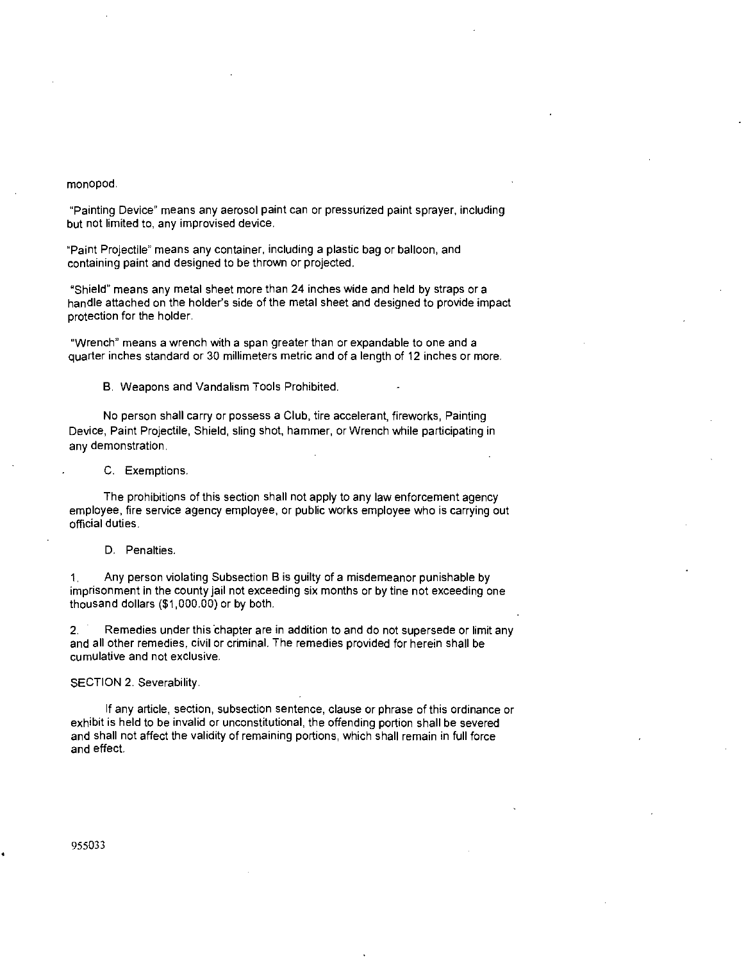#### monopod.

"Painfing Device" means any aerosol paint can or pressurized paint sprayer, including but not limited to, any improvised device.

"Paint Projecfile" means any container, including a plastic bag or balloon, and containing paint and designed to be thrown or projected.

"Shield" means any metal sheet more than 24 inches wide and held by straps or a handle attached on the holder's side of the metal sheet and designed to provide impact protection for the holder.

"Wrench" means a wrench with a span greater than or expandable to one and a quarter inches standard or 30 millimeters metric and of a length of 12 inches or more.

#### B. Weapons and Vandalism Tools Prohibited.

No person shall carry or possess a Club, fire accelerant, fireworks. Painting Device, Paint Projectile, Shield, sling shot, hammer, or Wrench while participating in any demonstrafion.

#### C. Exempfions.

The prohibifions of this section shall not apply to any law enforcement agency employee, fire service agency employee, or public works employee who is carrying out official duties.

### D. Penalties.

1. Any person violating Subsecfion B is guilty of a misdemeanor punishable by imprisonment In the county jail not exceeding six months or by fine not exceeding one thousand dollars (\$1,000.00) or by both.

2. Remedies under this chapter are in addition to and do not supersede or limit any and all other remedies, civil or criminal. The remedies provided for herein shall be cumulative and not exclusive.

#### SECTION 2. Severability.

If any article, section, subsecfion sentence, clause or phrase of this ordinance or exhibit is held to be invalid or unconstitutional, the offending portion shall be severed and shall not affect the validity of remaining portions, which shall remain in full force and effect.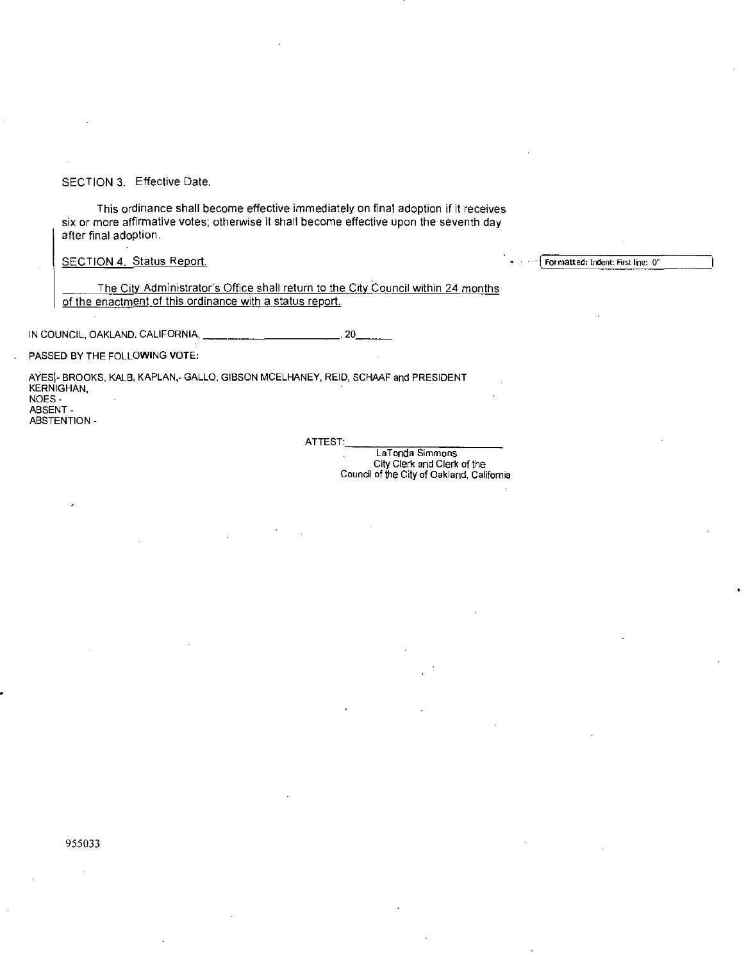## SECTION 3. Effective Date.

This ordinance shall become effective immediately on final adoption if it receives six or more affirmative votes; othenwise it shall become effective upon the seventh day after final adoption.

SECTION 4. Status Report. The Status of the Contract of Contract Section 1. 1999. The Contract of Status Report.

The City Administrator's Office shall return to the City Council within 24 months of the enactment of this ordinance with a status report.

IN COUNCIL, OAKLAND. CALIFORNIA, . 20

PASSED BY THE FOLLOWING VOTE:

AYESl- BROOKS, KALB, KAPLAN,-GALLO, GIBSON MCELHANEY, REID, SCHAAF and PRESIDENT KERNIGHAN, NOES - ABSENT - ABSTENTION -

ATTEST:

LaTonda Simmons City Clerk and Clerk of the Council of the City of Oakland, California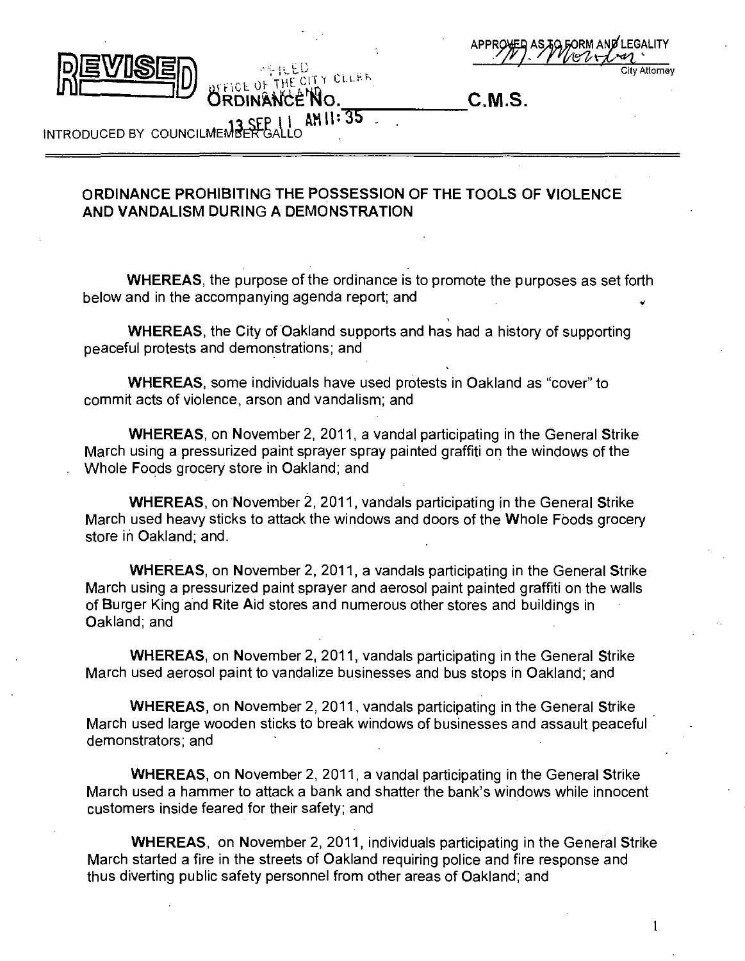**I Y UO EIN I S I S I W I S I W I S I LEW I S I LEW I S I W I S I W I S I W I S I W O IN Y S I W O I W I W O I W** 



 $C.M.S.$ 

INTRODUCED BY COUNCILME

## **ORDINANCE PROHIBITING THE POSSESSION OF THE TOOLS OF VIOLENCE AND VANDALISM DURING A DEMONSTRATION**

WHEREAS, the purpose of the ordinance is to promote the purposes as set forth below and in the accompanying agenda report; and ^

WHEREAS, the City of Oakland supports and has had a history of supporting peaceful protests and demonstrations; and

WHEREAS, some individuals have used protests in Oakland as "cover" to commit acts of violence, arson and vandalism; and

WHEREAS, on November 2, 2011, a vandal participating in the General Strike March using a pressurized paint sprayer spray painted graffiti on the windows of the Whole Foods grocery store in Oakland; and

WHEREAS, on November 2, 2011, vandals participating in the General Strike March used heavy sticks to attack the windows and doors of the Whole Foods grocery store in Oakland; and.

WHEREAS, on November 2, 2011, a vandals participating in the General Strike March using a pressurized paint sprayer and aerosol paint painted graffiti on the walls of Burger King and Rite Aid stores and numerous other stores and buildings in Oakland; and

WHEREAS, on November 2, 2011, vandals participating in the General Strike March used aerosol paint to vandalize businesses and bus stops in Oakland; and

WHEREAS, on November 2, 2011, vandals participating in the General Strike March used large wooden sticks to break windows of businesses and assault peaceful demonstrators; and

WHEREAS, on November 2, 2011, a vandal participating in the General Strike March used a hammer to attack a bank and shatter the bank's windows while innocent customers inside feared for their safety; and

WHEREAS, on November 2, 2011, individuals participating in the General Strike March started a fire in the streets of Oakland requiring police and fire response and thus diverting public safety personnel from other areas of Oakland; and

 $\mathbf{1}$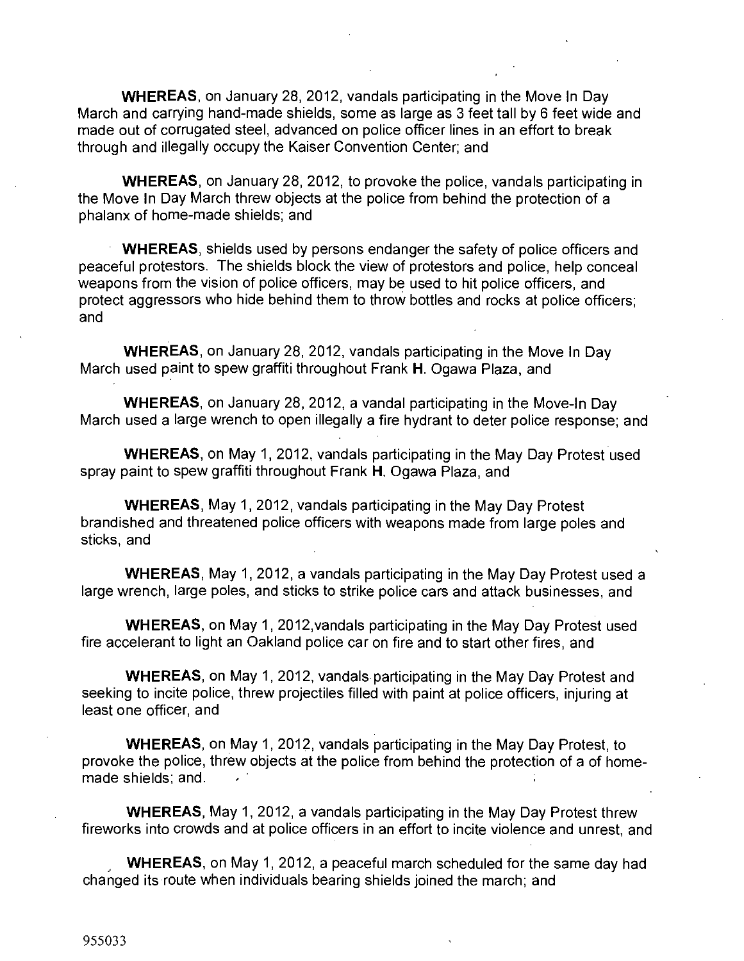WHEREAS, on January 28, 2012, vandals participating in the Move In Day March and carrying hand-made shields, some as large as 3 feet tall by 6 feet wide and made out of corrugated steel, advanced on police officer lines in an effort to break through and illegally occupy the Kaiser Convention Center; and

WHEREAS, on January 28, 2012, to provoke the police, vandals participating in the Move In Day March threw objects at the police from behind the protection of a phalanx of home-made shields; and

WHEREAS, shields used by persons endanger the safety of police officers and peaceful protestors. The shields block the view of protestors and police, help conceal weapons from the vision of police officers, may be used to hit police officers, and protect aggressors who hide behind them to throw bottles and rocks at police officers; and

WHEREAS, on January 28, 2012, vandals participating in the Move In Day March used paint to spew graffiti throughout Frank H. Ogawa Plaza, and

WHEREAS, on January 28, 2012, a vandal participating in the Move-In Day March used a large wrench to open illegally a fire hydrant to deter police response; and

WHEREAS, on May 1, 2012, vandals participating in the May Day Protest used spray paint to spew graffiti throughout Frank H. Ogawa Plaza, and

WHEREAS, May 1, 2012, vandals participating in the May Day Protest brandished and threatened police officers with weapons made from large poles and sticks, and

WHEREAS, May 1, 2012, a vandals participating in the May Day Protest used a large wrench, large poles, and sticks to strike police cars and attack businesses, and

WHEREAS, on May 1, 2012,vandals participating in the May Day Protest used fire accelerant to light an Oakland police car on fire and to start other fires, and

WHEREAS, on May 1, 2012, vandals-participating in the May Day Protest and seeking to incite police, threw projectiles filled with paint at police officers, injuring at least one officer, and

WHEREAS, on May 1, 2012, vandals participating in the May Day Protest, to provoke the police, threw objects at the police from behind the protection of a of homemade shields; and.

WHEREAS, May 1, 2012, a vandals participating in the May Day Protest threw fireworks into crowds and at police officers in an effort to incite violence and unrest, and

WHEREAS, on May 1, 2012, a peaceful march scheduled for the same day had changed its route when individuals bearing shields joined the march; and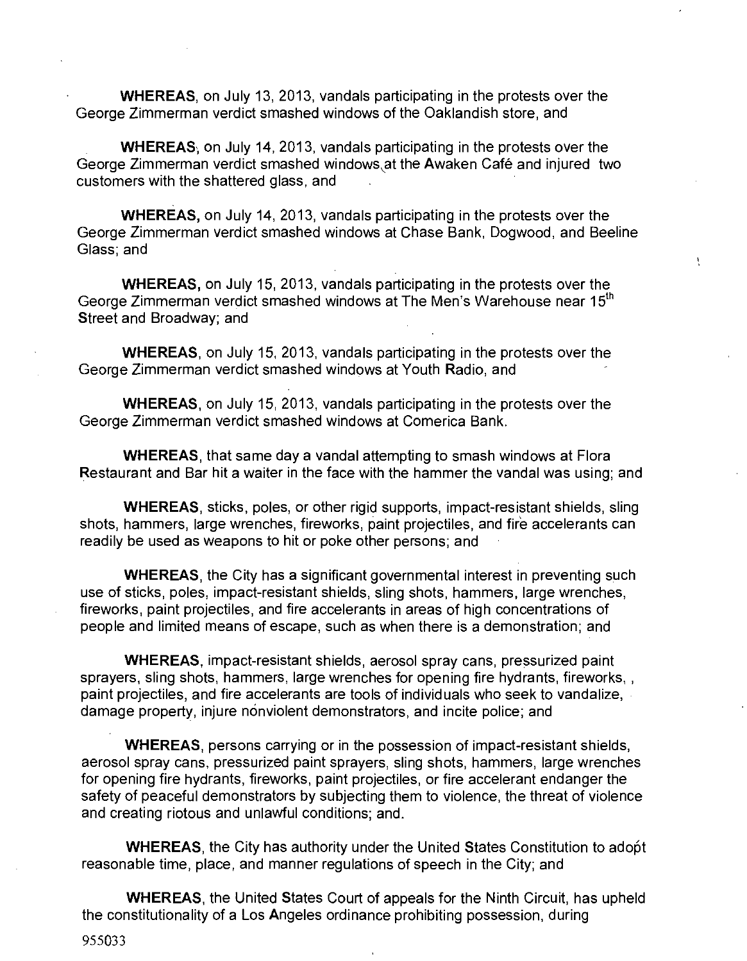WHEREAS, on July 13, 2013, vandals participating in the protests over the George Zimmerman verdict smashed windows of the Oaklandish store, and

WHEREAS, on July 14, 2013, vandals participating in the protests over the George Zimmerman verdict smashed windows at the Awaken Café and injured two customers with the shattered glass, and

WHEREAS, on July 14, 2013, vandals participating in the protests over the George Zimmerman verdict smashed windows at Chase Bank, Dogwood, and Beeline Glass; and

V

WHEREAS, on July 15, 2013, vandals participating in the protests over the George Zimmerman verdict smashed windows at The Men's Warehouse near  $15^{\text{th}}$ Street and Broadway; and

WHEREAS, on July 15, 2013, vandals participating in the protests over the George Zimmerman verdict smashed windows at Youth Radio, and

WHEREAS, on July 15, 2013, vandals participating in the protests over the George Zimmerman verdict smashed windows at Comerica Bank.

WHEREAS, that same day a vandal attempting to smash windows at Flora Restaurant and Bar hit a waiter in the face with the hammer the vandal was using; and

WHEREAS, sticks, poles, or other rigid supports, impact-resistant shields, sling shots, hammers, large wrenches, fireworks, paint projectiles, and fire accelerants can readily be used as weapons to hit or poke other persons; and

WHEREAS, the City has a significant governmental interest in preventing such use of sticks, poles, impact-resistant shields, sling shots, hammers, large wrenches, fireworks, paint projectiles, and fire accelerants in areas of high concentrations of people and limited means of escape, such as when there is a demonstration; and

WHEREAS, impact-resistant shields, aerosol spray cans, pressurized paint sprayers, sling shots, hammers, large wrenches for opening fire hydrants, fireworks, , paint projectiles, and fire accelerants are tools of individuals who seek to vandalize, damage property, injure nonviolent demonstrators, and incite police; and

WHEREAS, persons carrying or in the possession of impact-resistant shields, aerosol spray cans, pressurized paint sprayers, sling shots, hammers, large wrenches for opening fire hydrants, fireworks, paint projectiles, or fire accelerant endanger the safety of peaceful demonstrators by subjecting them to violence, the threat of violence and creating riotous and unlawful conditions; and.

WHEREAS, the City has authority under the United States Constitution to adopt reasonable time, place, and manner regulations of speech in the City; and

WHEREAS, the United States Court of appeals for the Ninth Circuit, has upheld the constitutionality of a Los Angeles ordinance prohibiting possession, during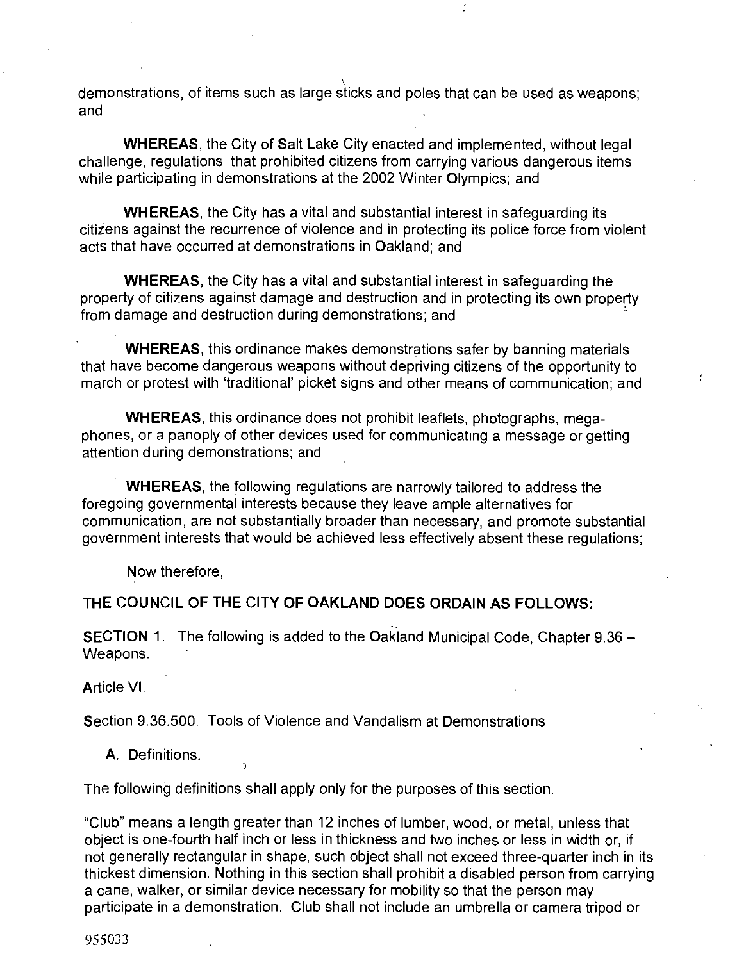demonstrations, of items such as large sticks and poles that can be used as weapons; and

WHEREAS, the City of Salt Lake City enacted and implemented, without legal challenge, regulations that prohibited citizens from carrying various dangerous items while participating in demonstrations at the 2002 Winter Olympics; and

WHEREAS, the City has a vital and substantial interest in safeguarding its citizens against the recurrence of violence and in protecting its police force from violent acts that have occurred at demonstrations in Oakland; and

WHEREAS, the City has a vital and substantial interest in safeguarding the property of citizens against damage and destruction and in protecting its own property from damage and destruction during demonstrations; and

WHEREAS, this ordinance makes demonstrations safer by banning materials that have become dangerous weapons without depriving citizens of the opportunity to march or protest with 'traditional' picket signs and other means of communication; and

WHEREAS, this ordinance does not prohibit leaflets, photographs, megaphones, or a panoply of other devices used for communicating a message or getting attention during demonstrations; and

WHEREAS, the following regulations are narrowly tailored to address the foregoing governmental interests because they leave ample alternatives for communication, are not substantially broader than necessary, and promote substantial government interests that would be achieved less effectively absent these regulations;

Now therefore,

**THE COUNCIL OF THE CITY OF OAKLAND DOES ORDAIN AS FOLLOWS:** 

SECTION 1. The following is added to the Oakland Municipal Code, Chapter 9.36 -Weapons.

Article VI.

Section 9.36.500. Tools of Violence and Vandalism at Demonstrations

A. Definitions.

The following definitions shall apply only for the purposes of this section.

"Club" means a length greater than 12 inches of lumber, wood, or metal, unless that object is one fourth half inch or less in thickness and two inches or less in width or, if not generally rectangular in shape, such object shall not exceed three-quarter inch in its thickest dimension. Nothing in this section shall prohibit a disabled person from carrying a cane, walker, or similar device necessary for mobility so that the person may participate in a demonstration. Club shall not include an umbrella or camera tripod or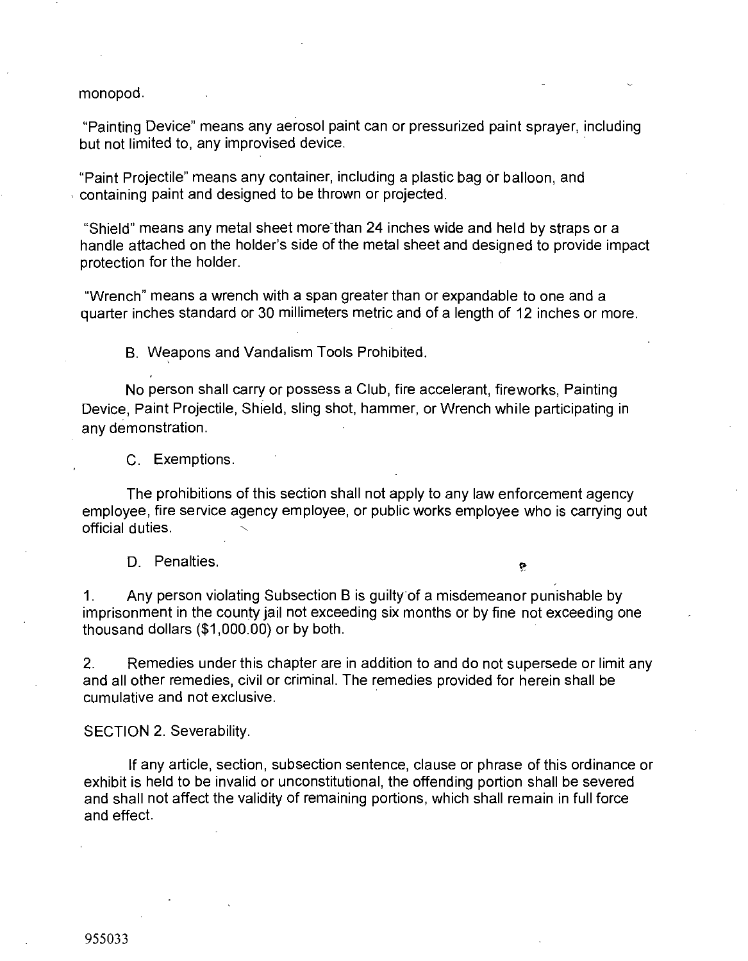monopod.

"Painting Device" means any aerosol paint can or pressurized paint sprayer, including but not limited to, any improvised device.

"Paint Projectile" means any container, including a plastic bag or balloon, and containing paint and designed to be thrown or projected.

"Shield" means any metal sheet more than 24 inches wide and held by straps or a handle attached on the holder's side of the metal sheet and designed to provide impact protection for the holder.

"Wrench" means a wrench with a span greater than or expandable to one and a quarter inches standard or 30 millimeters metric and of a length of 12 inches or more.

B. Weapons and Vandalism Tools Prohibited.

No person shall carry or possess a Club, fire accelerant, fireworks. Painting Device, Paint Projectile, Shield, sling shot, hammer, or Wrench while participating in any demonstration.

C. Exemptions.

The prohibitions of this section shall not apply to any law enforcement agency employee, fire service agency employee, or public works employee who is carrying out official duties.

Ģ

D. Penalties.

1. Any person violating Subsection B is guilty of a misdemeanor punishable by imprisonment in the county jail not exceeding six months or by fine not exceeding one thousand dollars (\$1,000.00) or by both.

2. Remedies under this chapter are in addition to and do not supersede or limit any and all other remedies, civil or criminal. The remedies provided for herein shall be cumulative and not exclusive.

## SECTION 2. Severability.

If any article, section, subsection sentence, clause or phrase of this ordinance or exhibit is held to be invalid or unconstitutional, the offending portion shall be severed and shall not affect the validity of remaining portions, which shall remain in full force and effect.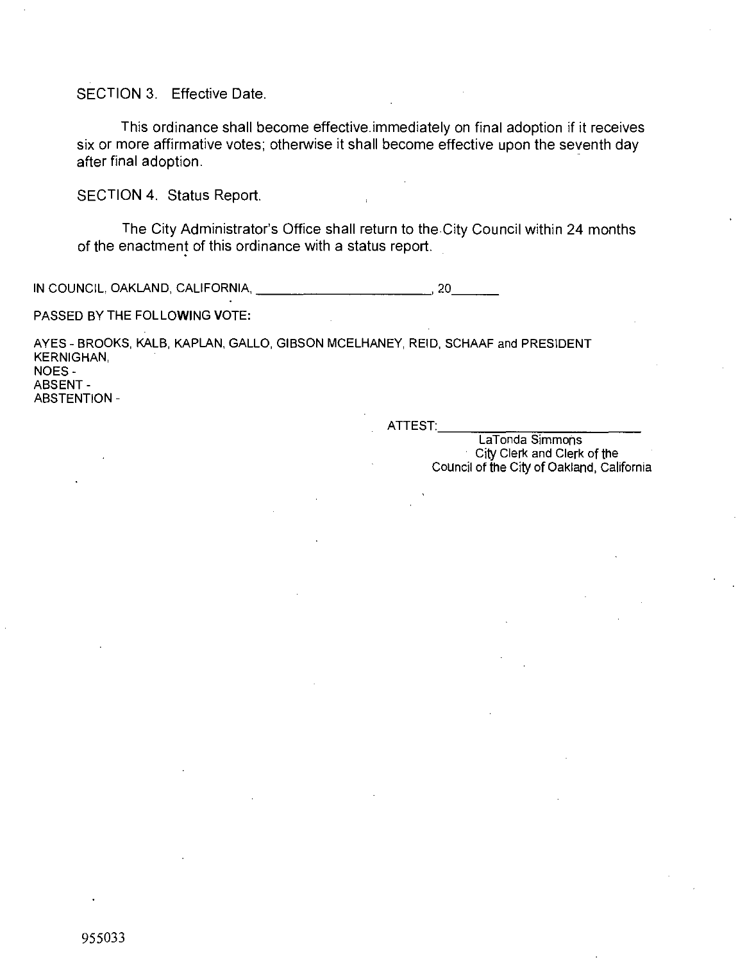SECTION 3. Effective Date.

This ordinance shall become effective.immediately on final adoption if it receives six or more affirmative votes; otherwise it shall become effective upon the seventh day after final adoption.

SECTION 4. Status Report.

The City Administrator's Office shall return to the City Council within 24 months of the enactment of this ordinance with a status report.

IN COUNCIL, OAKLAND, CALIFORNIA 20

PASSED BY THE FOLLOWING VOTE:

AYES - BROOKS, KALB, KAPLAN, GALLO, GIBSON MCELHANEY, REID, SCHAAF and PRESIDENT KERNIGHAN, NOES-ABSENT - ABSTENTION -

ATTEST:

LaTonda Simmons City Clerk and Clerk of the Council of the City of Oakland, California